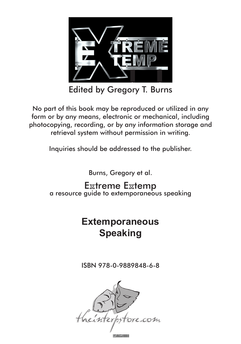

edited By gregory t. Burns Edited by Gregory T. Burns

The part of this book may be reproduced or unized in any form or by any means, electronic or mechanical, including form or by any means, electronic or mechanical, including photocopying, recording, or by any information storage and photocopying, recording, or by any information storage and retrieval system without permission in writing. No part of this book may be reproduced or utilized in any retrieval system without permission in writing.

> inquiries should be addressed to the publisher. Inquiries should be addressed to the publisher.

> > Burns, gregory et al. Burns, Gregory et al.

SXILEINE EXTENT<br>Dide to extemporane boored golde to extemporaneous spec **Extreme Extemp**<br>a resource guide to extemporaneous speaking **Extreme Extemp** 

#### Extemporaneou: **C**nooking **Pouning**  $\overline{\mathbf{C}}$ **Extemporaneous Speaking**

isBn 978-0-9889848-5-1 isbn 978-0-9889848-6-8

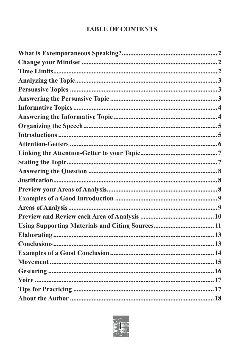# **TABLE OF CONTENTS**

| <b>Using Supporting Materials and Citing Sources 11</b> |  |
|---------------------------------------------------------|--|
|                                                         |  |
|                                                         |  |
|                                                         |  |
|                                                         |  |
|                                                         |  |
|                                                         |  |
|                                                         |  |
|                                                         |  |